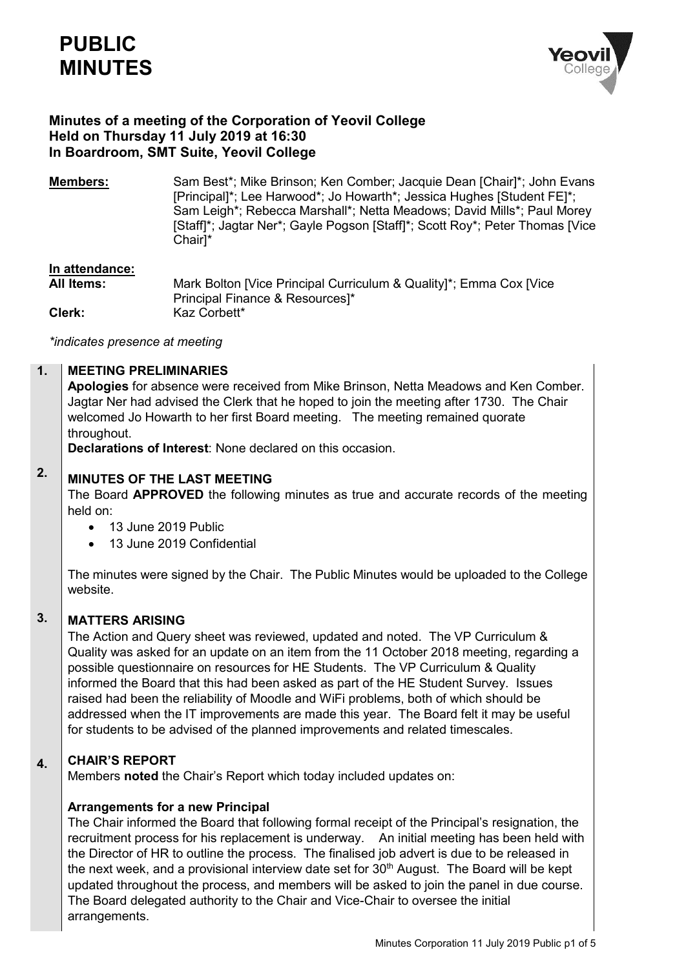

# **Minutes of a meeting of the Corporation of Yeovil College Held on Thursday 11 July 2019 at 16:30 In Boardroom, SMT Suite, Yeovil College**

**Members:** Sam Best\*; Mike Brinson; Ken Comber; Jacquie Dean [Chair]\*; John Evans [Principal]\*; Lee Harwood\*; Jo Howarth\*; Jessica Hughes [Student FE]\*; Sam Leigh\*; Rebecca Marshall\*; Netta Meadows; David Mills\*; Paul Morey [Staff]\*; Jagtar Ner\*; Gayle Pogson [Staff]\*; Scott Roy\*; Peter Thomas [Vice Chair]\*

## **In attendance:**

**All Items:** Mark Bolton [Vice Principal Curriculum & Quality]\*; Emma Cox [Vice Principal Finance & Resources]\* **Clerk:** Kaz Corbett\*

*\*indicates presence at meeting*

#### **1. MEETING PRELIMINARIES**

**Apologies** for absence were received from Mike Brinson, Netta Meadows and Ken Comber. Jagtar Ner had advised the Clerk that he hoped to join the meeting after 1730. The Chair welcomed Jo Howarth to her first Board meeting. The meeting remained quorate throughout.

**Declarations of Interest**: None declared on this occasion.

### **2. MINUTES OF THE LAST MEETING**

The Board **APPROVED** the following minutes as true and accurate records of the meeting held on:

- 13 June 2019 Public
- 13 June 2019 Confidential

The minutes were signed by the Chair. The Public Minutes would be uploaded to the College website.

#### **3. MATTERS ARISING**

The Action and Query sheet was reviewed, updated and noted. The VP Curriculum & Quality was asked for an update on an item from the 11 October 2018 meeting, regarding a possible questionnaire on resources for HE Students. The VP Curriculum & Quality informed the Board that this had been asked as part of the HE Student Survey. Issues raised had been the reliability of Moodle and WiFi problems, both of which should be addressed when the IT improvements are made this year. The Board felt it may be useful for students to be advised of the planned improvements and related timescales.

#### **4. CHAIR'S REPORT**

Members **noted** the Chair's Report which today included updates on:

### **Arrangements for a new Principal**

The Chair informed the Board that following formal receipt of the Principal's resignation, the recruitment process for his replacement is underway. An initial meeting has been held with the Director of HR to outline the process. The finalised job advert is due to be released in the next week, and a provisional interview date set for 30<sup>th</sup> August. The Board will be kept updated throughout the process, and members will be asked to join the panel in due course. The Board delegated authority to the Chair and Vice-Chair to oversee the initial arrangements.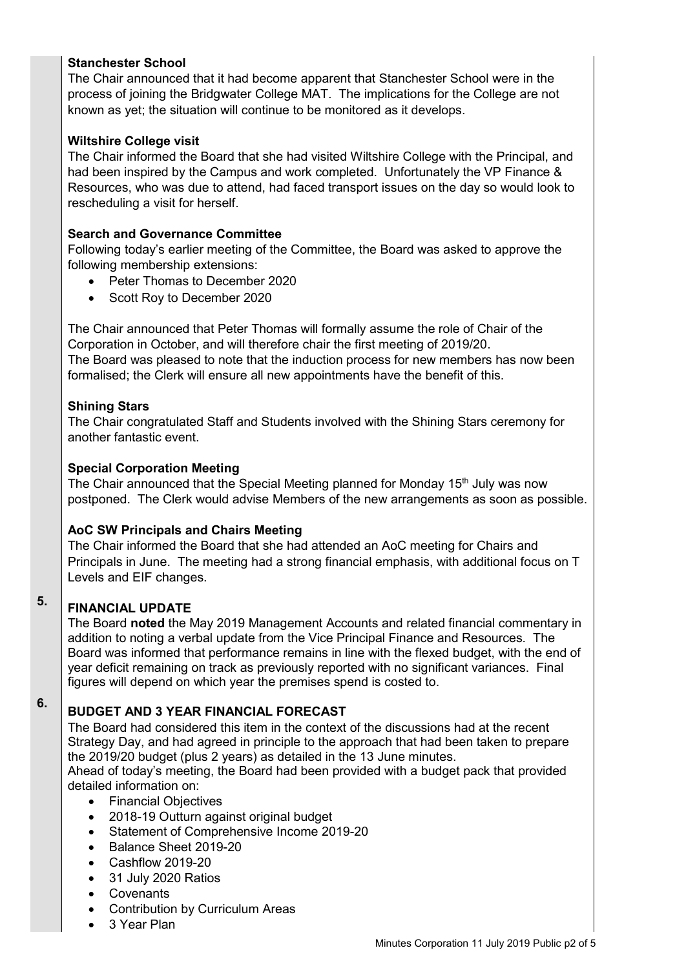# **Stanchester School**

The Chair announced that it had become apparent that Stanchester School were in the process of joining the Bridgwater College MAT. The implications for the College are not known as yet; the situation will continue to be monitored as it develops.

# **Wiltshire College visit**

The Chair informed the Board that she had visited Wiltshire College with the Principal, and had been inspired by the Campus and work completed. Unfortunately the VP Finance & Resources, who was due to attend, had faced transport issues on the day so would look to rescheduling a visit for herself.

# **Search and Governance Committee**

Following today's earlier meeting of the Committee, the Board was asked to approve the following membership extensions:

- Peter Thomas to December 2020
- Scott Roy to December 2020

The Chair announced that Peter Thomas will formally assume the role of Chair of the Corporation in October, and will therefore chair the first meeting of 2019/20. The Board was pleased to note that the induction process for new members has now been formalised; the Clerk will ensure all new appointments have the benefit of this.

# **Shining Stars**

The Chair congratulated Staff and Students involved with the Shining Stars ceremony for another fantastic event.

# **Special Corporation Meeting**

The Chair announced that the Special Meeting planned for Monday  $15<sup>th</sup>$  July was now postponed. The Clerk would advise Members of the new arrangements as soon as possible.

# **AoC SW Principals and Chairs Meeting**

The Chair informed the Board that she had attended an AoC meeting for Chairs and Principals in June. The meeting had a strong financial emphasis, with additional focus on T Levels and EIF changes.

### **5. FINANCIAL UPDATE**

The Board **noted** the May 2019 Management Accounts and related financial commentary in addition to noting a verbal update from the Vice Principal Finance and Resources. The Board was informed that performance remains in line with the flexed budget, with the end of year deficit remaining on track as previously reported with no significant variances. Final figures will depend on which year the premises spend is costed to.

### **6. BUDGET AND 3 YEAR FINANCIAL FORECAST**

The Board had considered this item in the context of the discussions had at the recent Strategy Day, and had agreed in principle to the approach that had been taken to prepare the 2019/20 budget (plus 2 years) as detailed in the 13 June minutes.

Ahead of today's meeting, the Board had been provided with a budget pack that provided detailed information on:

- Financial Objectives
- 2018-19 Outturn against original budget
- Statement of Comprehensive Income 2019-20
- Balance Sheet 2019-20
- Cashflow 2019-20
- 31 July 2020 Ratios
- Covenants
- Contribution by Curriculum Areas
- 3 Year Plan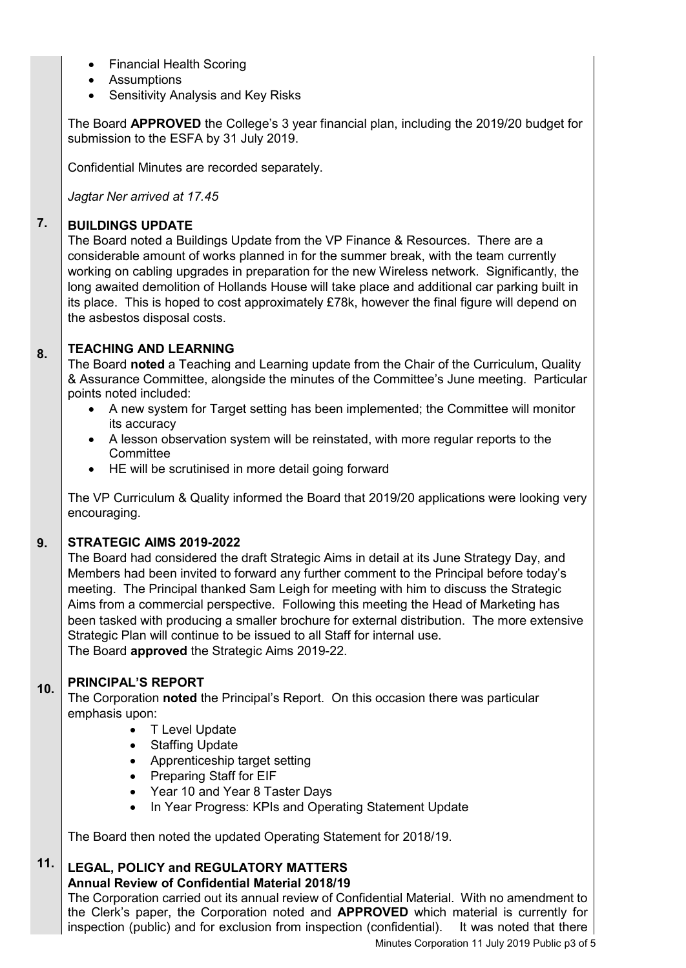- Financial Health Scoring
- Assumptions
- Sensitivity Analysis and Key Risks

The Board **APPROVED** the College's 3 year financial plan, including the 2019/20 budget for submission to the ESFA by 31 July 2019.

Confidential Minutes are recorded separately.

*Jagtar Ner arrived at 17.45*

#### **7. BUILDINGS UPDATE**

The Board noted a Buildings Update from the VP Finance & Resources. There are a considerable amount of works planned in for the summer break, with the team currently working on cabling upgrades in preparation for the new Wireless network. Significantly, the long awaited demolition of Hollands House will take place and additional car parking built in its place. This is hoped to cost approximately £78k, however the final figure will depend on the asbestos disposal costs.

#### **8. TEACHING AND LEARNING**

The Board **noted** a Teaching and Learning update from the Chair of the Curriculum, Quality & Assurance Committee, alongside the minutes of the Committee's June meeting. Particular points noted included:

- A new system for Target setting has been implemented; the Committee will monitor its accuracy
- A lesson observation system will be reinstated, with more regular reports to the **Committee**
- HE will be scrutinised in more detail going forward

The VP Curriculum & Quality informed the Board that 2019/20 applications were looking very encouraging.

#### **9. STRATEGIC AIMS 2019-2022**

The Board had considered the draft Strategic Aims in detail at its June Strategy Day, and Members had been invited to forward any further comment to the Principal before today's meeting. The Principal thanked Sam Leigh for meeting with him to discuss the Strategic Aims from a commercial perspective. Following this meeting the Head of Marketing has been tasked with producing a smaller brochure for external distribution. The more extensive Strategic Plan will continue to be issued to all Staff for internal use. The Board **approved** the Strategic Aims 2019-22.

#### **10. PRINCIPAL'S REPORT**

The Corporation **noted** the Principal's Report. On this occasion there was particular emphasis upon:

- T Level Update
- Staffing Update
- Apprenticeship target setting
- Preparing Staff for EIF
- Year 10 and Year 8 Taster Days
- In Year Progress: KPIs and Operating Statement Update

The Board then noted the updated Operating Statement for 2018/19.

### **11. LEGAL, POLICY and REGULATORY MATTERS**

**Annual Review of Confidential Material 2018/19**

The Corporation carried out its annual review of Confidential Material. With no amendment to the Clerk's paper, the Corporation noted and **APPROVED** which material is currently for inspection (public) and for exclusion from inspection (confidential). It was noted that there

Minutes Corporation 11 July 2019 Public p3 of 5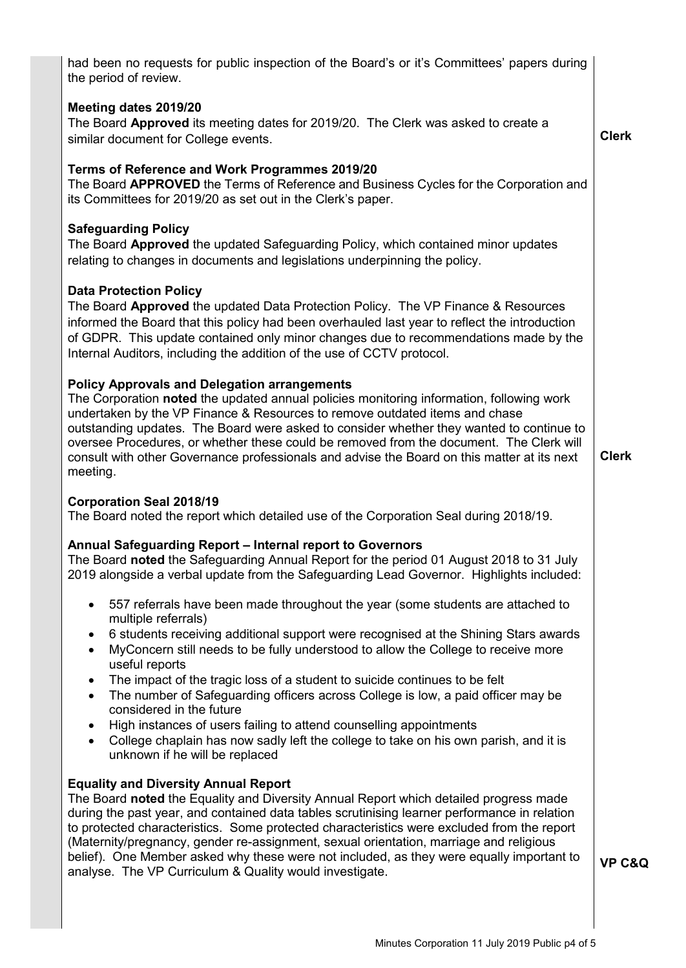had been no requests for public inspection of the Board's or it's Committees' papers during the period of review. **Meeting dates 2019/20** The Board **Approved** its meeting dates for 2019/20. The Clerk was asked to create a similar document for College events. **Terms of Reference and Work Programmes 2019/20** The Board **APPROVED** the Terms of Reference and Business Cycles for the Corporation and its Committees for 2019/20 as set out in the Clerk's paper. **Safeguarding Policy** The Board **Approved** the updated Safeguarding Policy, which contained minor updates relating to changes in documents and legislations underpinning the policy. **Data Protection Policy** The Board **Approved** the updated Data Protection Policy. The VP Finance & Resources informed the Board that this policy had been overhauled last year to reflect the introduction of GDPR. This update contained only minor changes due to recommendations made by the Internal Auditors, including the addition of the use of CCTV protocol. **Policy Approvals and Delegation arrangements** The Corporation **noted** the updated annual policies monitoring information, following work undertaken by the VP Finance & Resources to remove outdated items and chase outstanding updates. The Board were asked to consider whether they wanted to continue to oversee Procedures, or whether these could be removed from the document. The Clerk will consult with other Governance professionals and advise the Board on this matter at its next meeting. **Corporation Seal 2018/19** The Board noted the report which detailed use of the Corporation Seal during 2018/19. **Annual Safeguarding Report – Internal report to Governors**  The Board **noted** the Safeguarding Annual Report for the period 01 August 2018 to 31 July 2019 alongside a verbal update from the Safeguarding Lead Governor. Highlights included: 557 referrals have been made throughout the year (some students are attached to multiple referrals) 6 students receiving additional support were recognised at the Shining Stars awards MyConcern still needs to be fully understood to allow the College to receive more useful reports The impact of the tragic loss of a student to suicide continues to be felt The number of Safeguarding officers across College is low, a paid officer may be considered in the future High instances of users failing to attend counselling appointments College chaplain has now sadly left the college to take on his own parish, and it is unknown if he will be replaced **Equality and Diversity Annual Report**  The Board **noted** the Equality and Diversity Annual Report which detailed progress made during the past year, and contained data tables scrutinising learner performance in relation to protected characteristics. Some protected characteristics were excluded from the report (Maternity/pregnancy, gender re-assignment, sexual orientation, marriage and religious belief). One Member asked why these were not included, as they were equally important to analyse. The VP Curriculum & Quality would investigate. **Clerk Clerk VP C&Q**